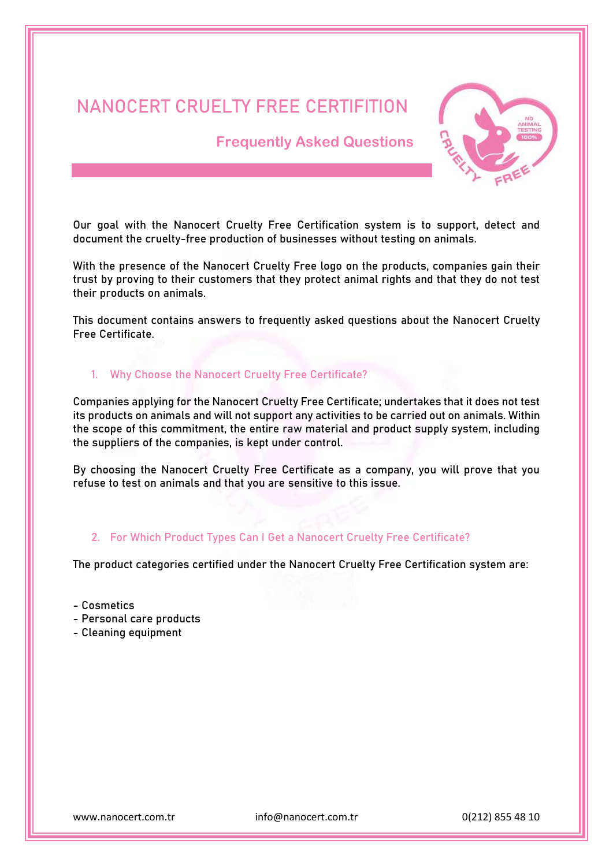# **NANOCERT CRUELTY FREE CERTIFITION**

 **Frequently Asked Questions** 



Our goal with the Nanocert Cruelty Free Certification system is to support, detect and document the cruelty-free production of businesses without testing on animals.

With the presence of the Nanocert Cruelty Free logo on the products, companies gain their trust by proving to their customers that they protect animal rights and that they do not test their products on animals.

This document contains answers to frequently asked questions about the Nanocert Cruelty Free Certificate.

## **1. Why Choose the Nanocert Cruelty Free Certificate?**

Companies applying for the Nanocert Cruelty Free Certificate; undertakes that it does not test its products on animals and will not support any activities to be carried out on animals. Within the scope of this commitment, the entire raw material and product supply system, including the suppliers of the companies, is kept under control.

By choosing the Nanocert Cruelty Free Certificate as a company, you will prove that you refuse to test on animals and that you are sensitive to this issue.

## **2. For Which Product Types Can I Get a Nanocert Cruelty Free Certificate?**

The product categories certified under the Nanocert Cruelty Free Certification system are:

- Cosmetics
- Personal care products
- Cleaning equipment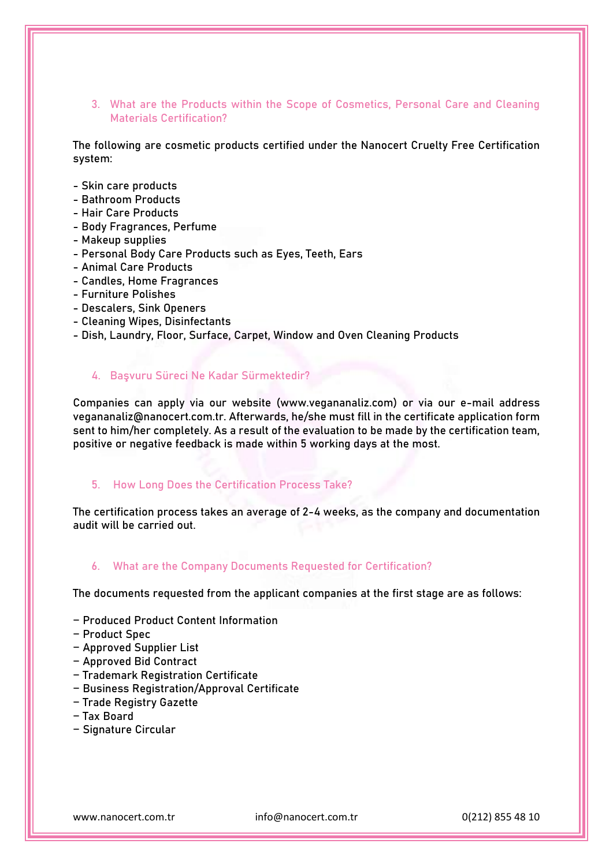## **3. What are the Products within the Scope of Cosmetics, Personal Care and Cleaning Materials Certification?**

The following are cosmetic products certified under the Nanocert Cruelty Free Certification system:

- Skin care products
- Bathroom Products
- Hair Care Products
- Body Fragrances, Perfume
- Makeup supplies
- Personal Body Care Products such as Eyes, Teeth, Ears
- Animal Care Products
- Candles, Home Fragrances
- Furniture Polishes
- Descalers, Sink Openers
- Cleaning Wipes, Disinfectants
- Dish, Laundry, Floor, Surface, Carpet, Window and Oven Cleaning Products

## **4. Başvuru Süreci Ne Kadar Sürmektedir?**

Companies can apply via our website (www.vegananaliz.com) or via our e-mail address vegananaliz@nanocert.com.tr. Afterwards, he/she must fill in the certificate application form sent to him/her completely. As a result of the evaluation to be made by the certification team, positive or negative feedback is made within 5 working days at the most.

#### **5. How Long Does the Certification Process Take?**

The certification process takes an average of 2-4 weeks, as the company and documentation audit will be carried out.

#### **6. What are the Company Documents Requested for Certification?**

The documents requested from the applicant companies at the first stage are as follows:

- − Produced Product Content Information
- − Product Spec
- − Approved Supplier List
- − Approved Bid Contract
- − Trademark Registration Certificate
- − Business Registration/Approval Certificate
- − Trade Registry Gazette
- − Tax Board
- − Signature Circular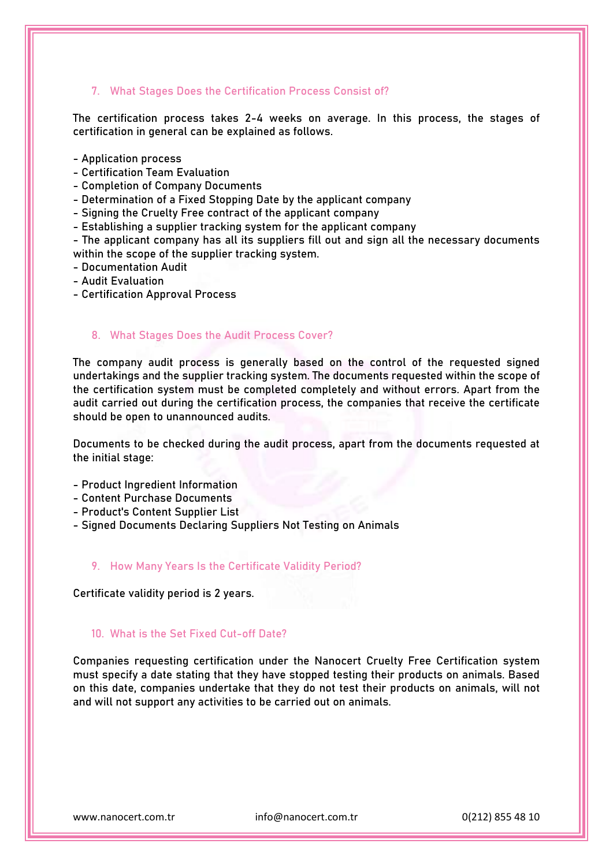## **7. What Stages Does the Certification Process Consist of?**

The certification process takes 2-4 weeks on average. In this process, the stages of certification in general can be explained as follows.

- Application process
- Certification Team Evaluation
- Completion of Company Documents

- Determination of a Fixed Stopping Date by the applicant company

- Signing the Cruelty Free contract of the applicant company

- Establishing a supplier tracking system for the applicant company

- The applicant company has all its suppliers fill out and sign all the necessary documents within the scope of the supplier tracking system.

- Documentation Audit
- Audit Evaluation
- Certification Approval Process

## **8. What Stages Does the Audit Process Cover?**

The company audit process is generally based on the control of the requested signed undertakings and the supplier tracking system. The documents requested within the scope of the certification system must be completed completely and without errors. Apart from the audit carried out during the certification process, the companies that receive the certificate should be open to unannounced audits.

Documents to be checked during the audit process, apart from the documents requested at the initial stage:

- Product Ingredient Information
- Content Purchase Documents
- Product's Content Supplier List
- Signed Documents Declaring Suppliers Not Testing on Animals

#### **9. How Many Years Is the Certificate Validity Period?**

Certificate validity period is 2 years.

## **10. What is the Set Fixed Cut-off Date?**

Companies requesting certification under the Nanocert Cruelty Free Certification system must specify a date stating that they have stopped testing their products on animals. Based on this date, companies undertake that they do not test their products on animals, will not and will not support any activities to be carried out on animals.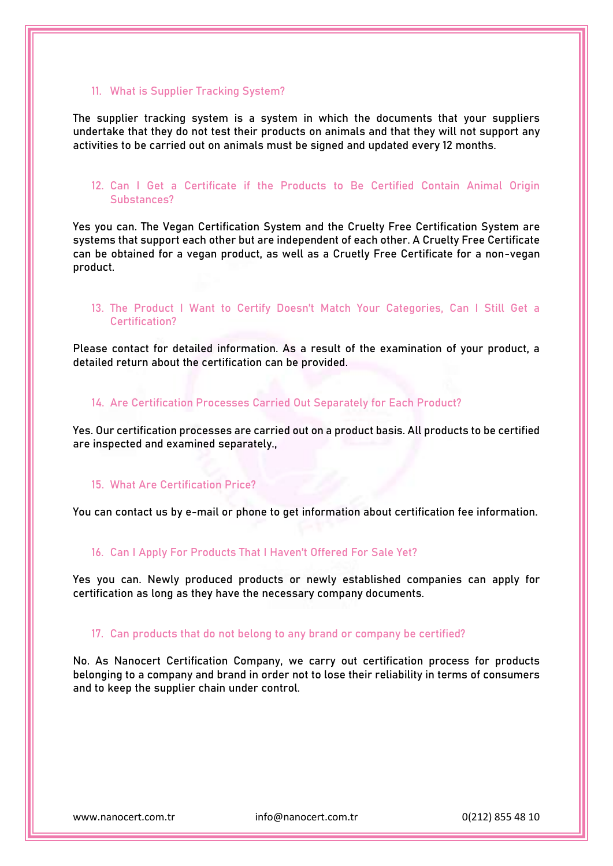#### **11. What is Supplier Tracking System?**

The supplier tracking system is a system in which the documents that your suppliers undertake that they do not test their products on animals and that they will not support any activities to be carried out on animals must be signed and updated every 12 months.

## **12. Can I Get a Certificate if the Products to Be Certified Contain Animal Origin Substances?**

Yes you can. The Vegan Certification System and the Cruelty Free Certification System are systems that support each other but are independent of each other. A Cruelty Free Certificate can be obtained for a vegan product, as well as a Cruetly Free Certificate for a non-vegan product.

## **13. The Product I Want to Certify Doesn't Match Your Categories, Can I Still Get a Certification?**

Please contact for detailed information. As a result of the examination of your product, a detailed return about the certification can be provided.

## **14. Are Certification Processes Carried Out Separately for Each Product?**

Yes. Our certification processes are carried out on a product basis. All products to be certified are inspected and examined separately.,

#### **15. What Are Certification Price?**

You can contact us by e-mail or phone to get information about certification fee information.

#### **16. Can I Apply For Products That I Haven't Offered For Sale Yet?**

Yes you can. Newly produced products or newly established companies can apply for certification as long as they have the necessary company documents.

#### **17. Can products that do not belong to any brand or company be certified?**

No. As Nanocert Certification Company, we carry out certification process for products belonging to a company and brand in order not to lose their reliability in terms of consumers and to keep the supplier chain under control.